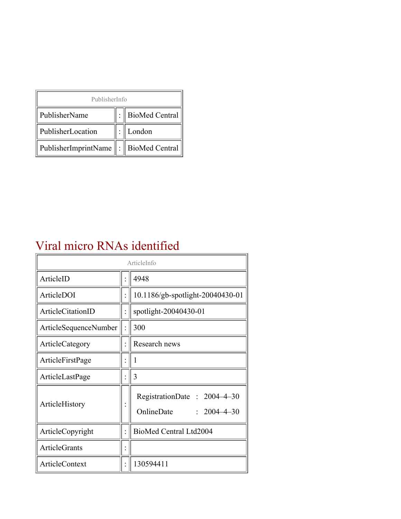| PublisherInfo                                   |  |                    |  |  |
|-------------------------------------------------|--|--------------------|--|--|
| PublisherName                                   |  | :   BioMed Central |  |  |
| PublisherLocation                               |  | London             |  |  |
| PublisherImprintName $\ \cdot\ $ BioMed Central |  |                    |  |  |

## Viral micro RNAs identified

| ArticleInfo           |  |                                                                |  |
|-----------------------|--|----------------------------------------------------------------|--|
| ArticleID             |  | 4948                                                           |  |
| ArticleDOI            |  | 10.1186/gb-spotlight-20040430-01                               |  |
| ArticleCitationID     |  | spotlight-20040430-01                                          |  |
| ArticleSequenceNumber |  | 300                                                            |  |
| ArticleCategory       |  | Research news                                                  |  |
| ArticleFirstPage      |  | 1                                                              |  |
| ArticleLastPage       |  | 3                                                              |  |
| ArticleHistory        |  | RegistrationDate: 2004-4-30<br>OnlineDate<br>$: 2004 - 4 - 30$ |  |
| ArticleCopyright      |  | BioMed Central Ltd2004                                         |  |
| <b>ArticleGrants</b>  |  |                                                                |  |
| <b>ArticleContext</b> |  | 130594411                                                      |  |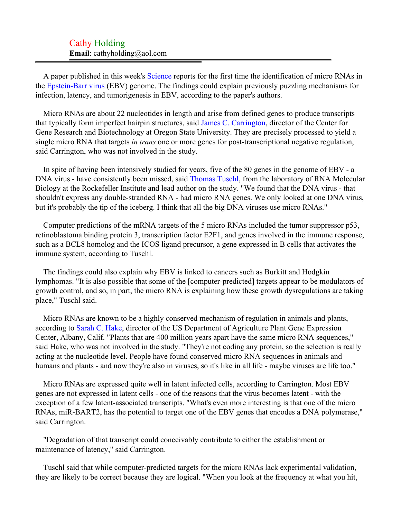## Cathy Holding **Email**: cathyholding@aol.com

A paper published in this week's [Science](#page-2-0) reports for the first time the identification of micro RNAs in the [Epstein-Barr virus](#page-2-1) (EBV) genome. The findings could explain previously puzzling mechanisms for infection, latency, and tumorigenesis in EBV, according to the paper's authors.

Micro RNAs are about 22 nucleotides in length and arise from defined genes to produce transcripts that typically form imperfect hairpin structures, said [James C. Carrington,](#page-2-2) director of the Center for Gene Research and Biotechnology at Oregon State University. They are precisely processed to yield a single micro RNA that targets *in trans* one or more genes for post-transcriptional negative regulation, said Carrington, who was not involved in the study.

In spite of having been intensively studied for years, five of the 80 genes in the genome of EBV - a DNA virus - have consistently been missed, said [Thomas Tuschl,](#page-2-3) from the laboratory of RNA Molecular Biology at the Rockefeller Institute and lead author on the study. "We found that the DNA virus - that shouldn't express any double-stranded RNA - had micro RNA genes. We only looked at one DNA virus, but it's probably the tip of the iceberg. I think that all the big DNA viruses use micro RNAs."

Computer predictions of the mRNA targets of the 5 micro RNAs included the tumor suppressor p53, retinoblastoma binding protein 3, transcription factor E2F1, and genes involved in the immune response, such as a BCL8 homolog and the ICOS ligand precursor, a gene expressed in B cells that activates the immune system, according to Tuschl.

The findings could also explain why EBV is linked to cancers such as Burkitt and Hodgkin lymphomas. "It is also possible that some of the [computer-predicted] targets appear to be modulators of growth control, and so, in part, the micro RNA is explaining how these growth dysregulations are taking place," Tuschl said.

Micro RNAs are known to be a highly conserved mechanism of regulation in animals and plants, according to [Sarah C. Hake](#page-2-4), director of the US Department of Agriculture Plant Gene Expression Center, Albany, Calif. "Plants that are 400 million years apart have the same micro RNA sequences," said Hake, who was not involved in the study. "They're not coding any protein, so the selection is really acting at the nucleotide level. People have found conserved micro RNA sequences in animals and humans and plants - and now they're also in viruses, so it's like in all life - maybe viruses are life too."

Micro RNAs are expressed quite well in latent infected cells, according to Carrington. Most EBV genes are not expressed in latent cells - one of the reasons that the virus becomes latent - with the exception of a few latent-associated transcripts. "What's even more interesting is that one of the micro RNAs, miR-BART2, has the potential to target one of the EBV genes that encodes a DNA polymerase," said Carrington.

"Degradation of that transcript could conceivably contribute to either the establishment or maintenance of latency," said Carrington.

Tuschl said that while computer-predicted targets for the micro RNAs lack experimental validation, they are likely to be correct because they are logical. "When you look at the frequency at what you hit,